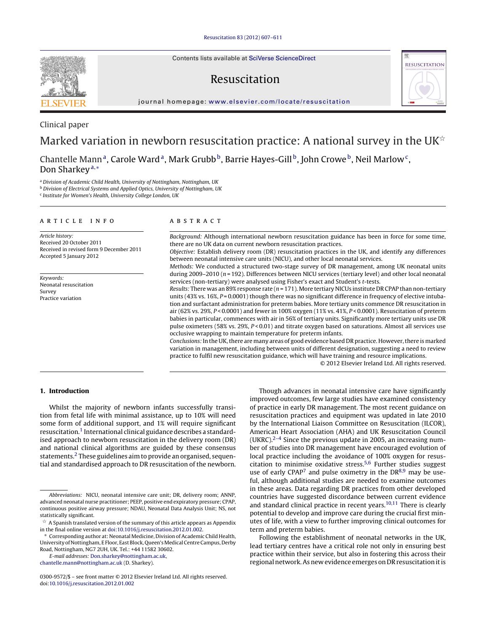Contents lists available at SciVerse [ScienceDirect](http://www.sciencedirect.com/science/journal/03009572)

# Resuscitation



iournal homepage: [www.elsevier.com/locate/resuscitation](http://www.elsevier.com/locate/resuscitation)

# Clinical paper Marked variation in newborn resuscitation practice: A national survey in the UK $^{\star}$

Chantelle Mann<sup>a</sup>, Carole Ward<sup>a</sup>, Mark Grubb<sup>b</sup>, Barrie Hayes-Gill<sup>b</sup>, John Crowe<sup>b</sup>, Neil Marlow<sup>c</sup>, Don Sharkey<sup>a,</sup>\*

<sup>a</sup> Division of Academic Child Health, University of Nottingham, Nottingham, UK

**b Division of Electrical Systems and Applied Optics, University of Nottingham, UK** 

<sup>c</sup> Institute for Women's Health, University College London, UK

# a r t i c l e i n f o

Article history: Received 20 October 2011 Received in revised form 9 December 2011 Accepted 5 January 2012

Keywords: Neonatal resuscitation Survey Practice variation

# A B S T R A C T

Background: Although international newborn resuscitation guidance has been in force for some time, there are no UK data on current newborn resuscitation practices.

Objective: Establish delivery room (DR) resuscitation practices in the UK, and identify any differences between neonatal intensive care units (NICU), and other local neonatal services.

Methods: We conducted a structured two-stage survey of DR management, among UK neonatal units during 2009–2010 ( $n = 192$ ). Differences between NICU services (tertiary level) and other local neonatal services (non-tertiary) were analysed using Fisher's exact and Student's t-tests.

Results: There was an 89% response rate ( $n = 171$ ). More tertiary NICUs institute DR CPAP than non-tertiary units (43% vs. 16%,  $P = 0.0001$ ) though there was no significant difference in frequency of elective intubation and surfactant administration for preterm babies. More tertiary units commence DR resuscitation in air (62% vs. 29%, P < 0.0001) and fewer in 100% oxygen (11% vs. 41%, P < 0.0001). Resuscitation of preterm babies in particular, commences with air in 56% of tertiary units. Significantly more tertiary units use DR pulse oximeters (58% vs. 29%, P < 0.01) and titrate oxygen based on saturations. Almost all services use occlusive wrapping to maintain temperature for preterm infants.

Conclusions: In the UK, there are many areas of good evidence based DR practice. However, there is marked variation in management, including between units of different designation, suggesting a need to review practice to fulfil new resuscitation guidance, which will have training and resource implications.

© 2012 Elsevier Ireland Ltd. All rights reserved.

# **1. Introduction**

Whilst the majority of newborn infants successfully transition from fetal life with minimal assistance, up to 10% will need some form of additional support, and 1% will require significant resuscitation.[1](#page-3-0) International clinical guidance describes a standardised approach to newborn resuscitation in the delivery room (DR) and national clinical algorithms are guided by these consensus statements.<sup>2</sup> These guidelines aim to provide an organised, sequential and standardised approach to DR resuscitation of the newborn.

E-mail addresses: [Don.sharkey@nottingham.ac.uk](mailto:Don.sharkey@nottingham.ac.uk),

[chantelle.mann@nottingham.ac.uk](mailto:chantelle.mann@nottingham.ac.uk) (D. Sharkey).

Though advances in neonatal intensive care have significantly improved outcomes, few large studies have examined consistency of practice in early DR management. The most recent guidance on resuscitation practices and equipment was updated in late 2010 by the International Liaison Committee on Resuscitation (ILCOR), American Heart Association (AHA) and UK Resuscitation Council (UKRC).<sup>[2–4](#page-3-0)</sup> Since the previous update in 2005, an increasing number of studies into DR management have encouraged evolution of local practice including the avoidance of 100% oxygen for resuscitation to minimise oxidative stress[.5,6](#page-3-0) Further studies suggest use of early  $CPAP^7$  $CPAP^7$  and pulse oximetry in the  $DR^{8,9}$  may be useful, although additional studies are needed to examine outcomes in these areas. Data regarding DR practices from other developed countries have suggested discordance between current evidence and standard clinical practice in recent years.[10,11](#page-4-0) There is clearly potential to develop and improve care during the crucial first minutes of life, with a view to further improving clinical outcomes for term and preterm babies.

Following the establishment of neonatal networks in the UK, lead tertiary centres have a critical role not only in ensuring best practice within their service, but also in fostering this across their regional network. As new evidence emerges on DR resuscitation it is



Abbreviations: NICU, neonatal intensive care unit; DR, delivery room; ANNP, advanced neonatal nurse practitioner; PEEP, positive end expiratory pressure; CPAP, continuous positive airway pressure; NDAU, Neonatal Data Analysis Unit; NS, not statistically significant.

 $^\star\,$  A Spanish translated version of the summary of this article appears as Appendix in the final online version at [doi:10.1016/j.resuscitation.2012.01.002](http://dx.doi.org/10.1016/j.resuscitation.2012.01.002).

Corresponding author at: Neonatal Medicine, Division of Academic Child Health, University of Nottingham, E Floor, East Block, Queen's Medical Centre Campus, Derby Road, Nottingham, NG7 2UH, UK. Tel.: +44 11582 30602.

<sup>0300-9572/\$</sup> – see front matter © 2012 Elsevier Ireland Ltd. All rights reserved. doi:[10.1016/j.resuscitation.2012.01.002](dx.doi.org/10.1016/j.resuscitation.2012.01.002)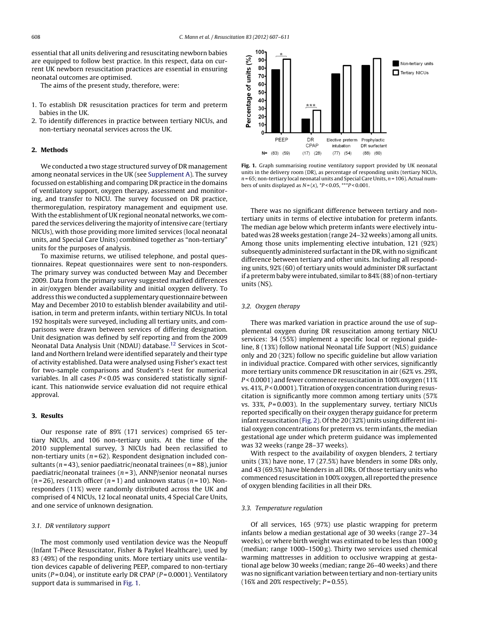essential that all units delivering and resuscitating newborn babies are equipped to follow best practice. In this respect, data on current UK newborn resuscitation practices are essential in ensuring neonatal outcomes are optimised.

The aims of the present study, therefore, were:

- 1. To establish DR resuscitation practices for term and preterm babies in the UK.
- 2. To identify differences in practice between tertiary NICUs, and non-tertiary neonatal services across the UK.

#### **2. Methods**

We conducted a two stage structured survey of DR management among neonatal services in the UK (see [Supplement](#page-3-0) [A\).](#page-3-0) The survey focussed on establishing and comparing DR practice in the domains of ventilatory support, oxygen therapy, assessment and monitoring, and transfer to NICU. The survey focussed on DR practice, thermoregulation, respiratory management and equipment use. With the establishment of UK regional neonatal networks, we compared the services delivering the majority of intensive care (tertiary NICUs), with those providing more limited services (local neonatal units, and Special Care Units) combined together as "non-tertiary" units for the purposes of analysis.

To maximise returns, we utilised telephone, and postal questionnaires. Repeat questionnaires were sent to non-responders. The primary survey was conducted between May and December 2009. Data from the primary survey suggested marked differences in air/oxygen blender availability and initial oxygen delivery. To address this we conducted a supplementary questionnaire between May and December 2010 to establish blender availability and utilisation, in term and preterm infants, within tertiary NICUs. In total 192 hospitals were surveyed, including all tertiary units, and comparisons were drawn between services of differing designation. Unit designation was defined by self reporting and from the 2009 Neonatal Data Analysis Unit (NDAU) database[.12](#page-4-0) Services in Scotland and Northern Ireland were identified separately and their type of activity established. Data were analysed using Fisher's exact test for two-sample comparisons and Student's t-test for numerical variables. In all cases  $P < 0.05$  was considered statistically significant. This nationwide service evaluation did not require ethical approval.

# **3. Results**

Our response rate of 89% (171 services) comprised 65 tertiary NICUs, and 106 non-tertiary units. At the time of the 2010 supplemental survey, 3 NICUs had been reclassified to non-tertiary units ( $n = 62$ ). Respondent designation included consultants ( $n = 43$ ), senior paediatric/neonatal trainees ( $n = 88$ ), junior paediatric/neonatal trainees ( $n = 3$ ), ANNP/senior neonatal nurses  $(n=26)$ , research officer  $(n=1)$  and unknown status  $(n=10)$ . Nonresponders (11%) were randomly distributed across the UK and comprised of 4 NICUs, 12 local neonatal units, 4 Special Care Units, and one service of unknown designation.

#### 3.1. DR ventilatory support

The most commonly used ventilation device was the Neopuff (Infant T-Piece Resuscitator, Fisher & Paykel Healthcare), used by 83 (49%) of the responding units. More tertiary units use ventilation devices capable of delivering PEEP, compared to non-tertiary units ( $P = 0.04$ ), or institute early DR CPAP ( $P = 0.0001$ ). Ventilatory support data is summarised in Fig. 1.



**Fig. 1.** Graph summarising routine ventilatory support provided by UK neonatal units in the delivery room (DR), as percentage of responding units (tertiary NICUs,  $n = 65$ ; non-tertiary local neonatal units and Special Care Units,  $n = 106$ ). Actual numbers of units displayed as  $N = (x)$ ,  $*P < 0.05$ ,  $**P < 0.001$ .

There was no significant difference between tertiary and nontertiary units in terms of elective intubation for preterm infants. The median age below which preterm infants were electively intubated was 28 weeks gestation (range 24–32 weeks) among all units. Among those units implementing elective intubation, 121 (92%) subsequently administered surfactant in the DR, with no significant difference between tertiary and other units. Including all responding units, 92% (60) of tertiary units would administer DR surfactant if a preterm baby were intubated, similar to 84% (88) of non-tertiary units (NS).

#### 3.2. Oxygen therapy

There was marked variation in practice around the use of supplemental oxygen during DR resuscitation among tertiary NICU services: 34 (55%) implement a specific local or regional guideline, 8 (13%) follow national Neonatal Life Support (NLS) guidance only and 20 (32%) follow no specific guideline but allow variation in individual practice. Compared with other services, significantly more tertiary units commence DR resuscitation in air (62% vs. 29%, P < 0.0001) and fewer commence resuscitation in 100% oxygen (11% vs.  $41\%, P < 0.0001$ ). Titration of oxygen concentration during resuscitation is significantly more common among tertiary units (57% vs. 33%,  $P = 0.003$ ). In the supplementary survey, tertiary NICUs reported specifically on their oxygen therapy guidance for preterm infant resuscitation [\(Fig.](#page-2-0) 2). Of the 20 (32%) units using different initial oxygen concentrations for preterm vs. term infants, the median gestational age under which preterm guidance was implemented was 32 weeks (range 28–37 weeks).

With respect to the availability of oxygen blenders, 2 tertiary units (3%) have none, 17 (27.5%) have blenders in some DRs only, and 43 (69.5%) have blenders in all DRs. Of those tertiary units who commenced resuscitation in 100% oxygen, all reported the presence of oxygen blending facilities in all their DRs.

#### 3.3. Temperature regulation

Of all services, 165 (97%) use plastic wrapping for preterm infants below a median gestational age of 30 weeks (range 27–34 weeks), or where birth weight was estimated to be less than 1000 g (median; range 1000–1500 g). Thirty two services used chemical warming mattresses in addition to occlusive wrapping at gestational age below 30 weeks (median; range 26–40 weeks) and there was no significant variation between tertiary and non-tertiary units (16% and 20% respectively;  $P = 0.55$ ).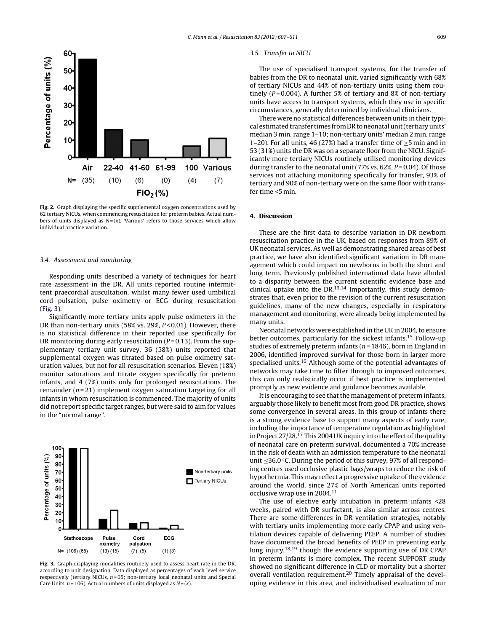<span id="page-2-0"></span>

**Fig. 2.** Graph displaying the specific supplemental oxygen concentrations used by 62 tertiary NICUs, when commencing resuscitation for preterm babies. Actual numbers of units displayed as  $N = (x)$ . 'Various' refers to those services which allow individual practice variation.

#### 3.4. Assessment and monitoring

Responding units described a variety of techniques for heart rate assessment in the DR. All units reported routine intermittent praecordial auscultation, whilst many fewer used umbilical cord pulsation, pulse oximetry or ECG during resuscitation (Fig. 3).

Significantly more tertiary units apply pulse oximeters in the DR than non-tertiary units (58% vs. 29%, P < 0.01). However, there is no statistical difference in their reported use specifically for HR monitoring during early resuscitation ( $P = 0.13$ ). From the supplementary tertiary unit survey, 36 (58%) units reported that supplemental oxygen was titrated based on pulse oximetry saturation values, but not for all resuscitation scenarios. Eleven (18%) monitor saturations and titrate oxygen specifically for preterm infants, and 4 (7%) units only for prolonged resuscitations. The remainder  $(n=21)$  implement oxygen saturation targeting for all infants in whom resuscitation is commenced. The majority of units did not report specific target ranges, but were said to aim for values in the "normal range".



**Fig. 3.** Graph displaying modalities routinely used to assess heart rate in the DR, according to unit designation. Data displayed as percentages of each level service respectively (tertiary NICUs,  $n = 65$ ; non-tertiary local neonatal units and Special Care Units,  $n = 106$ ). Actual numbers of units displayed as  $N = (x)$ .

#### 3.5. Transfer to NICU

The use of specialised transport systems, for the transfer of babies from the DR to neonatal unit, varied significantly with 68% of tertiary NICUs and 44% of non-tertiary units using them routinely ( $P = 0.004$ ). A further 5% of tertiary and 8% of non-tertiary units have access to transport systems, which they use in specific circumstances, generally determined by individual clinicians.

There were no statistical differences between units in their typical estimated transfer times from DR to neonatal unit (tertiary units' median 3 min, range 1–10; non-tertiary units' median 2 min, range 1–20). For all units, 46 (27%) had a transfer time of  $\geq$ 5 min and in 53 (31%) units the DR was on a separate floor from the NICU. Significantly more tertiary NICUs routinely utilised monitoring devices during transfer to the neonatal unit (77% vs.  $62\%, P = 0.04$ ). Of those services not attaching monitoring specifically for transfer, 93% of tertiary and 90% of non-tertiary were on the same floor with transfer time <5 min.

# **4. Discussion**

These are the first data to describe variation in DR newborn resuscitation practice in the UK, based on responses from 89% of UK neonatal services. As well as demonstrating shared areas of best practice, we have also identified significant variation in DR management which could impact on newborns in both the short and long term. Previously published international data have alluded to a disparity between the current scientific evidence base and clinical uptake into the DR.<sup>13,14</sup> Importantly, this study demonstrates that, even prior to the revision of the current resuscitation guidelines, many of the new changes, especially in respiratory management and monitoring, were already being implemented by many units.

Neonatal networks were established in the UK in 2004, to ensure better outcomes, particularly for the sickest infants[.15](#page-4-0) Follow-up studies of extremely preterm infants ( $n = 1846$ ), born in England in 2006, identified improved survival for those born in larger more specialised units.[16](#page-4-0) Although some of the potential advantages of networks may take time to filter through to improved outcomes, this can only realistically occur if best practice is implemented promptly as new evidence and guidance becomes available.

It is encouraging to see that the management of preterm infants, arguably those likely to benefit most from good DR practice, shows some convergence in several areas. In this group of infants there is a strong evidence base to support many aspects of early care, including the importance of temperature regulation as highlighted in Project  $27/28$ .<sup>17</sup> This 2004 UK inquiry into the effect of the quality of neonatal care on preterm survival, documented a 70% increase in the risk of death with an admission temperature to the neonatal unit ≤36.0 ◦C. During the period of this survey, 97% of all responding centres used occlusive plastic bags/wraps to reduce the risk of hypothermia. This may reflect a progressive uptake of the evidence around the world, since 27% of North American units reported occlusive wrap use in 2004[.11](#page-4-0)

The use of elective early intubation in preterm infants <28 weeks, paired with DR surfactant, is also similar across centres. There are some differences in DR ventilation strategies, notably with tertiary units implementing more early CPAP and using ventilation devices capable of delivering PEEP. A number of studies have documented the broad benefits of PEEP in preventing early lung injury[,18,19](#page-4-0) though the evidence supporting use of DR CPAP in preterm infants is more complex. The recent SUPPORT study showed no significant difference in CLD or mortality but a shorter overall ventilation requirement.<sup>[20](#page-4-0)</sup> Timely appraisal of the developing evidence in this area, and individualised evaluation of our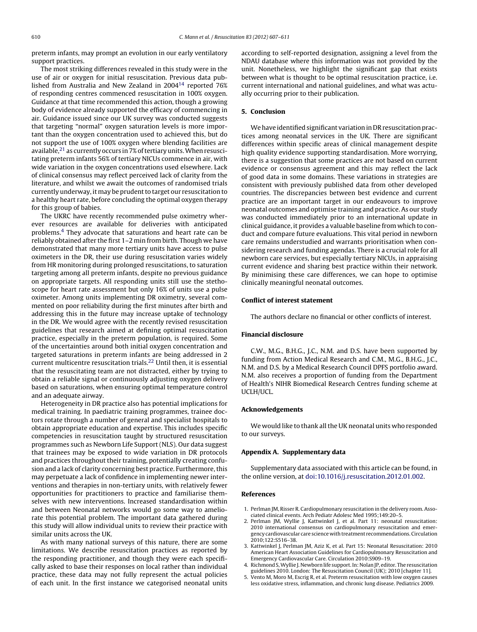<span id="page-3-0"></span>preterm infants, may prompt an evolution in our early ventilatory support practices.

The most striking differences revealed in this study were in the use of air or oxygen for initial resuscitation. Previous data published from Australia and New Zealand in 2004[14](#page-4-0) reported 76% of responding centres commenced resuscitation in 100% oxygen. Guidance at that time recommended this action, though a growing body of evidence already supported the efficacy of commencing in air. Guidance issued since our UK survey was conducted suggests that targeting "normal" oxygen saturation levels is more important than the oxygen concentration used to achieved this, but do not support the use of 100% oxygen where blending facilities are available, $21$  as currently occurs in 7% of tertiary units. When resuscitating preterm infants 56% of tertiary NICUs commence in air, with wide variation in the oxygen concentrations used elsewhere. Lack of clinical consensus may reflect perceived lack of clarity from the literature, and whilst we await the outcomes of randomised trials currently underway, it may be prudent to target our resuscitation to a healthy heart rate, before concluding the optimal oxygen therapy for this group of babies.

The UKRC have recently recommended pulse oximetry wherever resources are available for deliveries with anticipated problems.4 They advocate that saturations and heart rate can be reliably obtained after the first 1–2 min from birth. Though we have demonstrated that many more tertiary units have access to pulse oximeters in the DR, their use during resuscitation varies widely from HR monitoring during prolonged resuscitations, to saturation targeting among all preterm infants, despite no previous guidance on appropriate targets. All responding units still use the stethoscope for heart rate assessment but only 16% of units use a pulse oximeter. Among units implementing DR oximetry, several commented on poor reliability during the first minutes after birth and addressing this in the future may increase uptake of technology in the DR. We would agree with the recently revised resuscitation guidelines that research aimed at defining optimal resuscitation practice, especially in the preterm population, is required. Some of the uncertainties around both initial oxygen concentration and targeted saturations in preterm infants are being addressed in 2 current multicentre resuscitation trials.[22](#page-4-0) Until then, it is essential that the resuscitating team are not distracted, either by trying to obtain a reliable signal or continuously adjusting oxygen delivery based on saturations, when ensuring optimal temperature control and an adequate airway.

Heterogeneity in DR practice also has potential implications for medical training. In paediatric training programmes, trainee doctors rotate through a number of general and specialist hospitals to obtain appropriate education and expertise. This includes specific competencies in resuscitation taught by structured resuscitation programmes such as Newborn Life Support (NLS). Our data suggest that trainees may be exposed to wide variation in DR protocols and practices throughout their training, potentially creating confusion and a lack of clarity concerning best practice. Furthermore, this may perpetuate a lack of confidence in implementing newer interventions and therapies in non-tertiary units, with relatively fewer opportunities for practitioners to practice and familiarise themselves with new interventions. Increased standardisation within and between Neonatal networks would go some way to ameliorate this potential problem. The important data gathered during this study will allow individual units to review their practice with similar units across the UK.

As with many national surveys of this nature, there are some limitations. We describe resuscitation practices as reported by the responding practitioner, and though they were each specifically asked to base their responses on local rather than individual practice, these data may not fully represent the actual policies of each unit. In the first instance we categorised neonatal units according to self-reported designation, assigning a level from the NDAU database where this information was not provided by the unit. Nonetheless, we highlight the significant gap that exists between what is thought to be optimal resuscitation practice, i.e. current international and national guidelines, and what was actually occurring prior to their publication.

# **5. Conclusion**

We have identified significant variation in DR resuscitation practices among neonatal services in the UK. There are significant differences within specific areas of clinical management despite high quality evidence supporting standardisation. More worrying, there is a suggestion that some practices are not based on current evidence or consensus agreement and this may reflect the lack of good data in some domains. These variations in strategies are consistent with previously published data from other developed countries. The discrepancies between best evidence and current practice are an important target in our endeavours to improve neonatal outcomes and optimise training and practice. As our study was conducted immediately prior to an international update in clinical guidance, it provides a valuable baseline from which to conduct and compare future evaluations. This vital period in newborn care remains understudied and warrants prioritisation when considering research and funding agendas. There is a crucial role for all newborn care services, but especially tertiary NICUs, in appraising current evidence and sharing best practice within their network. By minimising these care differences, we can hope to optimise clinically meaningful neonatal outcomes.

# **Conflict of interest statement**

The authors declare no financial or other conflicts of interest.

# **Financial disclosure**

C.W., M.G., B.H.G., J.C., N.M. and D.S. have been supported by funding from Action Medical Research and C.M., M.G., B.H.G., J.C., N.M. and D.S. by a Medical Research Council DPFS portfolio award. N.M. also receives a proportion of funding from the Department of Health's NIHR Biomedical Research Centres funding scheme at UCLH/UCL.

#### **Acknowledgements**

We would like to thank all the UK neonatal units who responded to our surveys.

# **Appendix A. Supplementary data**

Supplementary data associated with this article can be found, in the online version, at [doi:10.1016/j.resuscitation.2012.01.002](http://dx.doi.org/10.1016/j.resuscitation.2012.01.002).

# **References**

- 1. Perlman JM, Risser R. Cardiopulmonary resuscitation in the delivery room. Associated clinical events. Arch Pediatr Adolesc Med 1995;149:20–5.
- 2. Perlman JM, Wyllie J, Kattwinkel J, et al. Part 11: neonatal resuscitation: 2010 international consensus on cardiopulmonary resuscitation and emergency cardiovascular care science withtreatment recommendations.Circulation 2010;122:S516–38.
- 3. Kattwinkel J, Perlman JM, Aziz K, et al. Part 15: Neonatal Resuscitation: 2010 American Heart Association Guidelines for Cardiopulmonary Resuscitation and Emergency Cardiovascular Care. Circulation 2010:S909–19.
- 4. Richmond S, Wyllie J. Newborn life support. In: Nolan JP, editor. The resuscitation guidelines 2010. London: The Resuscitation Council (UK); 2010 [chapter 11].
- 5. Vento M, Moro M, Escrig R, et al. Preterm resuscitation with low oxygen causes less oxidative stress, inflammation, and chronic lung disease. Pediatrics 2009.